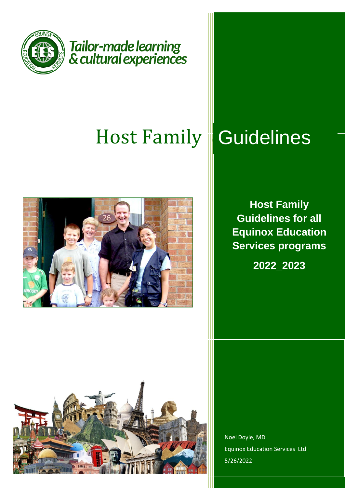

# Host Family



# **Guidelines**

**Host Family Guidelines for all Equinox Education Services programs**

**2022\_2023**



Noel Doyle, MD Equinox Education Services Ltd 5/26/2022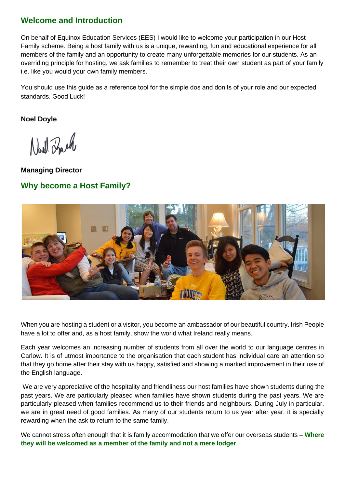# **Welcome and Introduction**

On behalf of Equinox Education Services (EES) I would like to welcome your participation in our Host Family scheme. Being a host family with us is a unique, rewarding, fun and educational experience for all members of the family and an opportunity to create many unforgettable memories for our students. As an overriding principle for hosting, we ask families to remember to treat their own student as part of your family i.e. like you would your own family members.

You should use this guide as a reference tool for the simple dos and don'ts of your role and our expected standards. Good Luck!

**Noel Doyle**

North Zouch

**Managing Director Why become a Host Family?** 



When you are hosting a student or a visitor, you become an ambassador of our beautiful country. Irish People have a lot to offer and, as a host family, show the world what Ireland really means.

Each year welcomes an increasing number of students from all over the world to our language centres in Carlow. It is of utmost importance to the organisation that each student has individual care an attention so that they go home after their stay with us happy, satisfied and showing a marked improvement in their use of the English language.

We are very appreciative of the hospitality and friendliness our host families have shown students during the past years. We are particularly pleased when families have shown students during the past years. We are particularly pleased when families recommend us to their friends and neighbours. During July in particular, we are in great need of good families. As many of our students return to us year after year, it is specially rewarding when the ask to return to the same family.

We cannot stress often enough that it is family accommodation that we offer our overseas students – **Where they will be welcomed as a member of the family and not a mere lodger**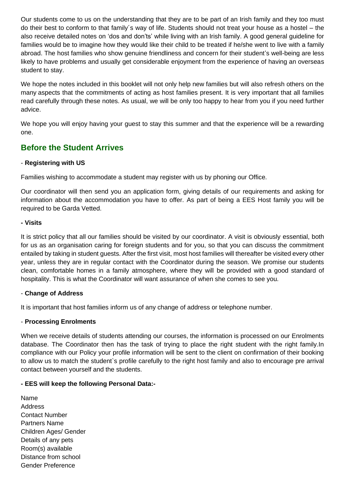Our students come to us on the understanding that they are to be part of an Irish family and they too must do their best to conform to that family´s way of life. Students should not treat your house as a hostel – the also receive detailed notes on 'dos and don'ts' while living with an Irish family. A good general guideline for families would be to imagine how they would like their child to be treated if he/she went to live with a family abroad. The host families who show genuine friendliness and concern for their student's well-being are less likely to have problems and usually get considerable enjoyment from the experience of having an overseas student to stay.

We hope the notes included in this booklet will not only help new families but will also refresh others on the many aspects that the commitments of acting as host families present. It is very important that all families read carefully through these notes. As usual, we will be only too happy to hear from you if you need further advice.

We hope you will enjoy having your quest to stay this summer and that the experience will be a rewarding one.

# **Before the Student Arrives**

## - **Registering with US**

Families wishing to accommodate a student may register with us by phoning our Office.

Our coordinator will then send you an application form, giving details of our requirements and asking for information about the accommodation you have to offer. As part of being a EES Host family you will be required to be Garda Vetted.

#### **- Visits**

It is strict policy that all our families should be visited by our coordinator. A visit is obviously essential, both for us as an organisation caring for foreign students and for you, so that you can discuss the commitment entailed by taking in student guests. After the first visit, most host families will thereafter be visited every other year, unless they are in regular contact with the Coordinator during the season. We promise our students clean, comfortable homes in a family atmosphere, where they will be provided with a good standard of hospitality. This is what the Coordinator will want assurance of when she comes to see you.

## - **Change of Address**

It is important that host families inform us of any change of address or telephone number.

## - **Processing Enrolments**

When we receive details of students attending our courses, the information is processed on our Enrolments database. The Coordinator then has the task of trying to place the right student with the right family.In compliance with our Policy your profile information will be sent to the client on confirmation of their booking to allow us to match the student`s profile carefully to the right host family and also to encourage pre arrival contact between yourself and the students.

#### **- EES will keep the following Personal Data:-**

Name Address Contact Number Partners Name Children Ages/ Gender Details of any pets Room(s) available Distance from school Gender Preference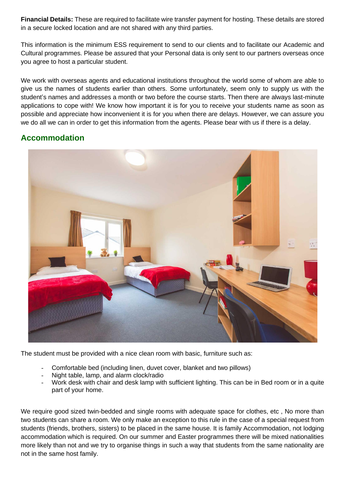**Financial Details:** These are required to facilitate wire transfer payment for hosting. These details are stored in a secure locked location and are not shared with any third parties.

This information is the minimum ESS requirement to send to our clients and to facilitate our Academic and Cultural programmes. Please be assured that your Personal data is only sent to our partners overseas once you agree to host a particular student.

We work with overseas agents and educational institutions throughout the world some of whom are able to give us the names of students earlier than others. Some unfortunately, seem only to supply us with the student's names and addresses a month or two before the course starts. Then there are always last-minute applications to cope with! We know how important it is for you to receive your students name as soon as possible and appreciate how inconvenient it is for you when there are delays. However, we can assure you we do all we can in order to get this information from the agents. Please bear with us if there is a delay.

## **Accommodation**



The student must be provided with a nice clean room with basic, furniture such as:

- Comfortable bed (including linen, duvet cover, blanket and two pillows)
- Night table, lamp, and alarm clock/radio
- Work desk with chair and desk lamp with sufficient lighting. This can be in Bed room or in a quite part of your home.

We require good sized twin-bedded and single rooms with adequate space for clothes, etc, No more than two students can share a room. We only make an exception to this rule in the case of a special request from students (friends, brothers, sisters) to be placed in the same house. It is family Accommodation, not lodging accommodation which is required. On our summer and Easter programmes there will be mixed nationalities more likely than not and we try to organise things in such a way that students from the same nationality are not in the same host family.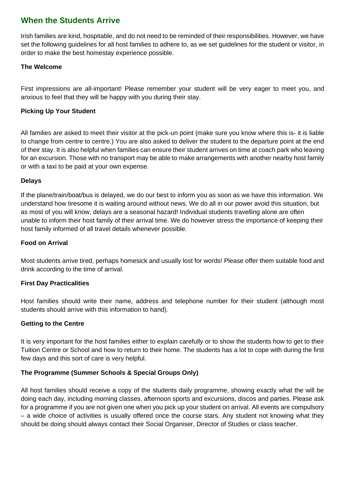# **When the Students Arrive**

Irish families are kind, hospitable, and do not need to be reminded of their responsibilities. However, we have set the following guidelines for all host families to adhere to, as we set guidelines for the student or visitor, in order to make the best homestay experience possible.

## **The Welcome**

First impressions are all-important! Please remember your student will be very eager to meet you, and anxious to feel that they will be happy with you during their stay.

## **Picking Up Your Student**

All families are asked to meet their visitor at the pick-un point (make sure you know where this is- it is liable to change from centre to centre.) You are also asked to deliver the student to the departure point at the end of their stay. It is also helpful when families can ensure their student arrives on time at coach park who leaving for an excursion. Those with no transport may be able to make arrangements with another nearby host family or with a taxi to be paid at your own expense.

## **Delays**

If the plane/train/boat/bus is delayed, we do our best to inform you as soon as we have this information. We understand how tiresome it is waiting around without news. We do all in our power avoid this situation, but as most of you will know, delays are a seasonal hazard! Individual students travelling alone are often unable to inform their host family of their arrival time. We do however stress the importance of keeping their host family informed of all travel details whenever possible.

#### **Food on Arrival**

Most students arrive tired, perhaps homesick and usually lost for words! Please offer them suitable food and drink according to the time of arrival.

#### **First Day Practicalities**

Host families should write their name, address and telephone number for their student (although most students should arrive with this information to hand).

## **Getting to the Centre**

It is very important for the host families either to explain carefully or to show the students how to get to their Tuition Centre or School and how to return to their home. The students has a lot to cope with during the first few days and this sort of care is very helpful.

## **The Programme (Summer Schools & Special Groups Only)**

All host families should receive a copy of the students daily programme, showing exactly what the will be doing each day, including morning classes, afternoon sports and excursions, discos and parties. Please ask for a programme if you are not given one when you pick up your student on arrival. All events are compulsory – a wide choice of activities is usually offered once the course stars. Any student not knowing what they should be doing should always contact their Social Organiser, Director of Studies or class teacher.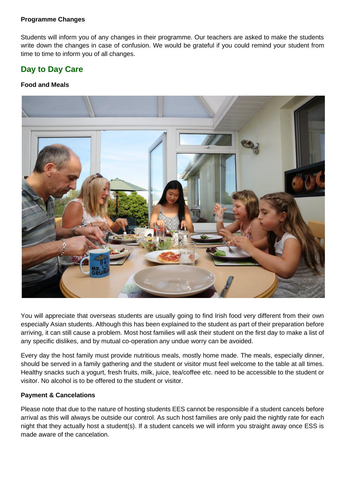#### **Programme Changes**

Students will inform you of any changes in their programme. Our teachers are asked to make the students write down the changes in case of confusion. We would be grateful if you could remind your student from time to time to inform you of all changes.

# **Day to Day Care**

#### **Food and Meals**



You will appreciate that overseas students are usually going to find Irish food very different from their own especially Asian students. Although this has been explained to the student as part of their preparation before arriving, it can still cause a problem. Most host families will ask their student on the first day to make a list of any specific dislikes, and by mutual co-operation any undue worry can be avoided.

Every day the host family must provide nutritious meals, mostly home made. The meals, especially dinner, should be served in a family gathering and the student or visitor must feel welcome to the table at all times. Healthy snacks such a yogurt, fresh fruits, milk, juice, tea/coffee etc. need to be accessible to the student or visitor. No alcohol is to be offered to the student or visitor.

#### **Payment & Cancelations**

Please note that due to the nature of hosting students EES cannot be responsible if a student cancels before arrival as this will always be outside our control. As such host families are only paid the nightly rate for each night that they actually host a student(s). If a student cancels we will inform you straight away once ESS is made aware of the cancelation.